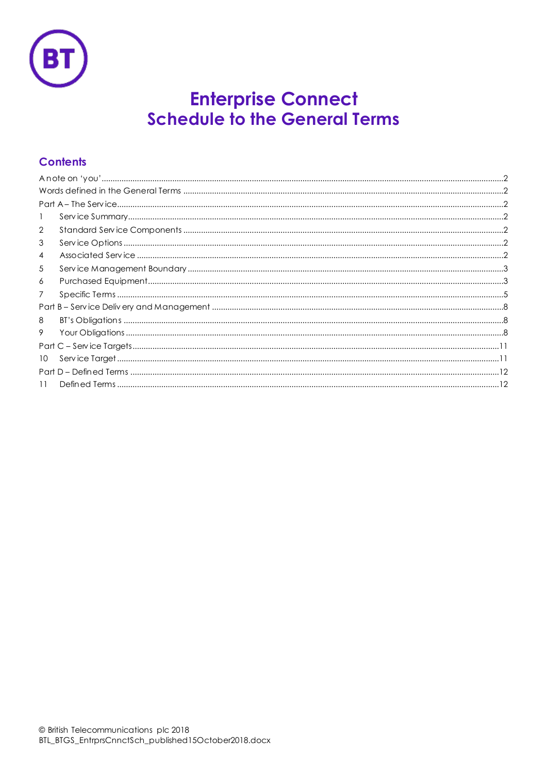

# **Enterprise Connect<br>Schedule to the General Terms**

# **Contents**

| 1               |  |  |
|-----------------|--|--|
| $\overline{2}$  |  |  |
| 3               |  |  |
| 4               |  |  |
| 5               |  |  |
| 6               |  |  |
| 7               |  |  |
|                 |  |  |
| 8               |  |  |
| 9               |  |  |
|                 |  |  |
| 10 <sup>°</sup> |  |  |
|                 |  |  |
| 11              |  |  |
|                 |  |  |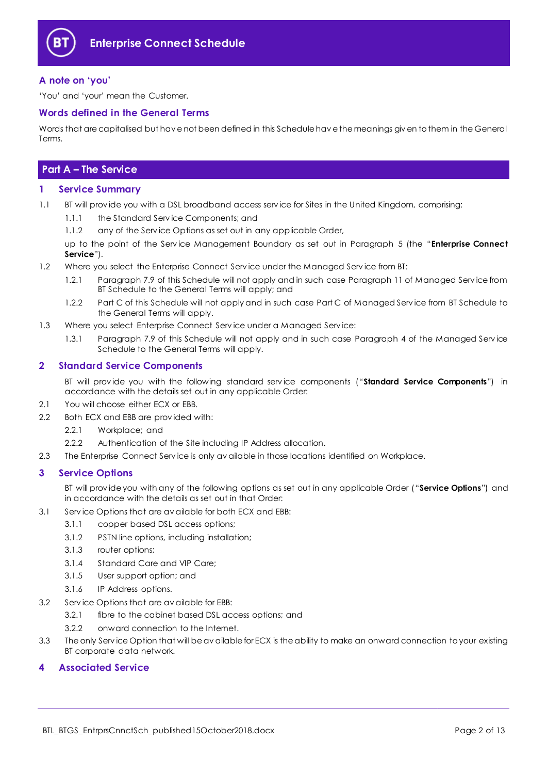

## <span id="page-1-0"></span>**A note on 'you'**

'You' and 'your' mean the Customer.

## <span id="page-1-1"></span>**Words defined in the General Terms**

Words that are capitalised but hav e not been defined in this Schedule hav e the meanings giv en to them in the General Terms.

# <span id="page-1-2"></span>**Part A – The Service**

## <span id="page-1-3"></span>**1 Service Summary**

- 1.1 BT will provide you with a DSL broadband access service for Sites in the United Kingdom, comprising:
	- 1.1.1 the Standard Serv ice Components; and
	- 1.1.2 any of the Serv ice Options as set out in any applicable Order,

up to the point of the Serv ice Management Boundary as set out in Paragraph [5](#page-2-0) (the "**Enterprise Connect Service**").

- 1.2 Where you select the Enterprise Connect Serv ice under the Managed Serv ice from BT:
	- 1.2.1 Paragraph 7.9 of this Schedule will not apply and in such case Paragraph 11 of Managed Serv ice from BT Schedule to the General Terms will apply; and
	- 1.2.2 Part C of this Schedule will not apply and in such case Part C of Managed Serv ice from BT Schedule to the General Terms will apply.
- 1.3 Where you select Enterprise Connect Serv ice under a Managed Serv ice:
	- 1.3.1 Paragraph 7.9 of this Schedule will not apply and in such case Paragraph 4 of the Managed Serv ice Schedule to the General Terms will apply.

## <span id="page-1-4"></span>**2 Standard Service Components**

BT will prov ide you with the following standard serv ice components ("**Standard Service Components**") in accordance with the details set out in any applicable Order:

- 2.1 You will choose either ECX or EBB.
- 2.2 Both ECX and EBB are prov ided with:
	- 2.2.1 Workplace; and
	- 2.2.2 Authentication of the Site including IP Address allocation.
- 2.3 The Enterprise Connect Serv ice is only av ailable in those locations identified on Workplace.

## <span id="page-1-5"></span>**3 Service Options**

BT will prov ide you with any of the following options as set out in any applicable Order ("**Service Options**") and in accordance with the details as set out in that Order:

- 3.1 Serv ice Options that are av ailable for both ECX and EBB:
	- 3.1.1 copper based DSL access options;
	- 3.1.2 PSTN line options, including installation;
	- 3.1.3 router options;
	- 3.1.4 Standard Care and VIP Care;
	- 3.1.5 User support option; and
	- 3.1.6 IP Address options.
- 3.2 Serv ice Options that are av ailable for EBB:
	- 3.2.1 fibre to the cabinet based DSL access options; and
	- 3.2.2 onward connection to the Internet.
- 3.3 The only Serv ice Option that will be av ailable for ECX is the ability to make an onward connection to your existing BT corporate data network.

## <span id="page-1-6"></span>**4 Associated Service**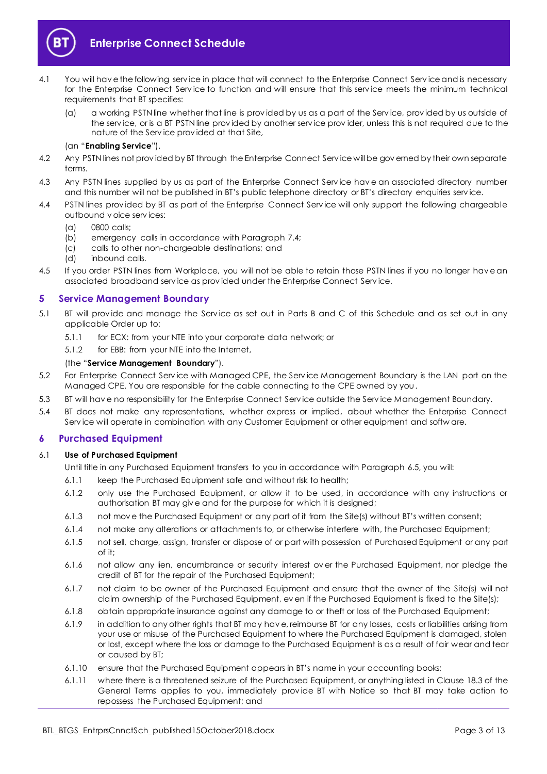

# **Enterprise Connect Schedule**

- 4.1 You will hav e the following serv ice in place that will connect to the Enterprise Connect Serv ice and is necessary for the Enterprise Connect Serv ice to function and will ensure that this serv ice meets the minimum technical requirements that BT specifies:
	- (a) a working PSTN line whether that line is prov ided by us as a part of the Serv ice, prov ided by us outside of the serv ice, or is a BT PSTN line prov ided by another serv ice prov ider, unless this is not required due to the nature of the Serv ice prov ided at that Site,

#### (an "**Enabling Service**").

- 4.2 Any PSTN lines not prov ided by BT through the Enterprise Connect Serv ice will be gov erned by their own separate terms.
- 4.3 Any PSTN lines supplied by us as part of the Enterprise Connect Serv ice hav e an associated directory number and this number will not be published in BT's public telephone directory or BT's directory enquiries serv ice.
- 4.4 PSTN lines prov ided by BT as part of the Enterprise Connect Serv ice will only support the following chargeable outbound v oice serv ices:
	- (a) 0800 calls;
	- (b) emergency calls in accordance with Paragrap[h 7.4;](#page-4-1)
	- (c) calls to other non-chargeable destinations; and
	- (d) inbound calls.
- 4.5 If you order PSTN lines from Workplace, you will not be able to retain those PSTN lines if you no longer hav e an associated broadband serv ice as prov ided under the Enterprise Connect Serv ice.

## <span id="page-2-0"></span>**5 Service Management Boundary**

- <span id="page-2-2"></span>5.1 BT will prov ide and manage the Serv ice as set out in Parts B and C of this Schedule and as set out in any applicable Order up to:
	- 5.1.1 for ECX: from your NTE into your corporate data network; or
	- 5.1.2 for EBB: from your NTE into the Internet,

#### (the "**Service Management Boundary**").

- 5.2 For Enterprise Connect Serv ice with Managed CPE, the Serv ice Management Boundary is the LAN port on the Managed CPE. You are responsible for the cable connecting to the CPE owned by you.
- 5.3 BT will hav e no responsibility for the Enterprise Connect Serv ice outside the Serv ice Management Boundary.
- 5.4 BT does not make any representations, whether express or implied, about whether the Enterprise Connect Serv ice will operate in combination with any Customer Equipment or other equipment and softw are.

## <span id="page-2-1"></span>**6 Purchased Equipment**

#### 6.1 **Use of Purchased Equipment**

Until title in any Purchased Equipment transfers to you in accordance with Paragraph [6.5,](#page-3-0) you will:

- 6.1.1 keep the Purchased Equipment safe and without risk to health;
- 6.1.2 only use the Purchased Equipment, or allow it to be used, in accordance with any instructions or authorisation BT may giv e and for the purpose for which it is designed;
- 6.1.3 not mov e the Purchased Equipment or any part of it from the Site(s) without BT's written consent;
- 6.1.4 not make any alterations or attachments to, or otherwise interfere with, the Purchased Equipment;
- 6.1.5 not sell, charge, assign, transfer or dispose of or part with possession of Purchased Equipment or any part of it;
- 6.1.6 not allow any lien, encumbrance or security interest ov er the Purchased Equipment, nor pledge the credit of BT for the repair of the Purchased Equipment;
- 6.1.7 not claim to be owner of the Purchased Equipment and ensure that the owner of the Site(s) will not claim ownership of the Purchased Equipment, ev en if the Purchased Equipment is fixed to the Site(s);
- 6.1.8 obtain appropriate insurance against any damage to or theft or loss of the Purchased Equipment;
- 6.1.9 in addition to any other rights that BT may hav e, reimburse BT for any losses, costs or liabilities arising from your use or misuse of the Purchased Equipment to where the Purchased Equipment is damaged, stolen or lost, except where the loss or damage to the Purchased Equipment is as a result of fair wear and tear or caused by BT;
- 6.1.10 ensure that the Purchased Equipment appears in BT's name in your accounting books;
- 6.1.11 where there is a threatened seizure of the Purchased Equipment, or anything listed in Clause 18.3 of the General Terms applies to you, immediately prov ide BT with Notice so that BT may take action to repossess the Purchased Equipment; and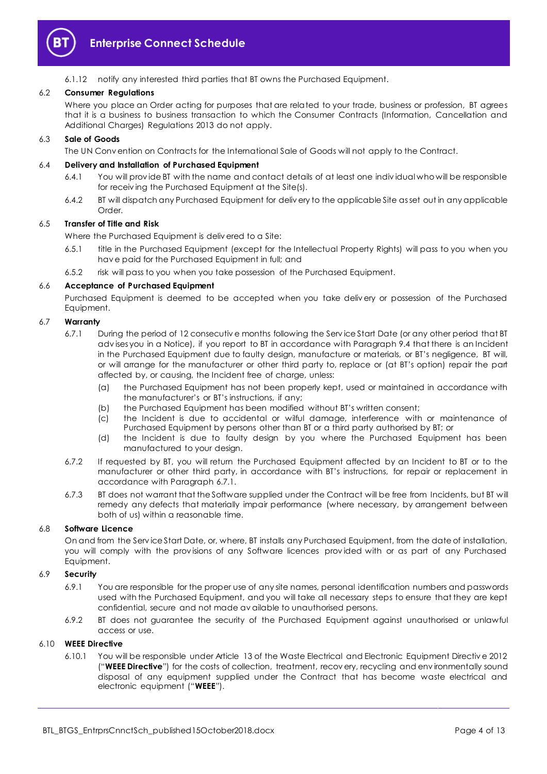

6.1.12 notify any interested third parties that BT owns the Purchased Equipment.

## 6.2 **Consumer Regulations**

Where you place an Order acting for purposes that are related to your trade, business or profession, BT agrees that it is a business to business transaction to which the Consumer Contracts (Information, Cancellation and Additional Charges) Regulations 2013 do not apply.

#### 6.3 **Sale of Goods**

The UN Conv ention on Contracts for the International Sale of Goods will not apply to the Contract.

#### 6.4 **Delivery and Installation of Purchased Equipment**

- 6.4.1 You will prov ide BT with the name and contact details of at least one indiv idual who will be responsible for receiv ing the Purchased Equipment at the Site(s).
- 6.4.2 BT will dispatch any Purchased Equipment for deliv ery to the applicable Site as set out in any applicable Order<sub>.</sub>

#### <span id="page-3-0"></span>6.5 **Transfer of Title and Risk**

Where the Purchased Equipment is deliv ered to a Site:

- 6.5.1 title in the Purchased Equipment (except for the Intellectual Property Rights) will pass to you when you hav e paid for the Purchased Equipment in full; and
- 6.5.2 risk will pass to you when you take possession of the Purchased Equipment.

#### 6.6 **Acceptance of Purchased Equipment**

Purchased Equipment is deemed to be accepted when you take deliv ery or possession of the Purchased Equipment.

## <span id="page-3-1"></span>6.7 **Warranty**

- 6.7.1 During the period of 12 consecutiv e months following the Serv ice Start Date (or any other period that BT adv ises you in a Notice), if you report to BT in accordance with Paragrap[h 9.4](#page-9-0) that there is an Incident in the Purchased Equipment due to faulty design, manufacture or materials, or BT's negligence, BT will, or will arrange for the manufacturer or other third party to, replace or (at BT's option) repair the part affected by, or causing, the Incident free of charge, unless:
	- (a) the Purchased Equipment has not been properly kept, used or maintained in accordance with the manufacturer's or BT's instructions, if any;
	- (b) the Purchased Equipment has been modified without BT's written consent;
	- (c) the Incident is due to accidental or wilful damage, interference with or maintenance of Purchased Equipment by persons other than BT or a third party authorised by BT; or
	- (d) the Incident is due to faulty design by you where the Purchased Equipment has been manufactured to your design.
- 6.7.2 If requested by BT, you will return the Purchased Equipment affected by an Incident to BT or to the manufacturer or other third party, in accordance with BT's instructions, for repair or replacement in accordance with Paragrap[h 6.7.1.](#page-3-1)
- 6.7.3 BT does not warrant that the Software supplied under the Contract will be free from Incidents, but BT will remedy any defects that materially impair performance (where necessary, by arrangement between both of us) within a reasonable time.

## 6.8 **Software Licence**

On and from the Serv ice Start Date, or, where, BT installs any Purchased Equipment, from the date of installation, you will comply with the prov isions of any Software licences prov ided with or as part of any Purchased Equipment.

## 6.9 **Security**

- 6.9.1 You are responsible for the proper use of any site names, personal identification numbers and passwords used with the Purchased Equipment, and you will take all necessary steps to ensure that they are kept confidential, secure and not made av ailable to unauthorised persons.
- 6.9.2 BT does not guarantee the security of the Purchased Equipment against unauthorised or unlawful access or use.

## <span id="page-3-3"></span><span id="page-3-2"></span>6.10 **WEEE Directive**

6.10.1 You will be responsible under Article 13 of the Waste Electrical and Electronic Equipment Directiv e 2012 ("**WEEE Directive**") for the costs of collection, treatment, recov ery, recycling and env ironmentally sound disposal of any equipment supplied under the Contract that has become waste electrical and electronic equipment ("**WEEE**").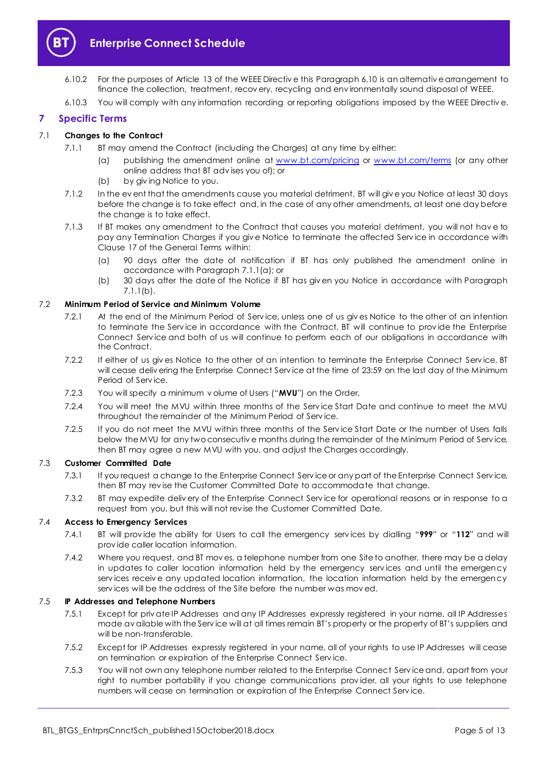

- 6.10.2 For the purposes of Article 13 of the WEEE Directiv e this Paragraph [6.10](#page-3-2) is an alternativ e arrangement to finance the collection, treatment, recov ery, recycling and env ironmentally sound disposal of WEEE.
- 6.10.3 You will comply with any information recording or reporting obligations imposed by the WEEE Directiv e.

## <span id="page-4-0"></span>**7 Specific Terms**

## <span id="page-4-2"></span>7.1 **Changes to the Contract**

- 7.1.1 BT may amend the Contract (including the Charges) at any time by either:
	- (a) publishing the amendment online at [www.bt.com/pricing](http://www.bt.com/pricing) or [www.bt.com/terms](http://www.bt.com/terms) (or any other online address that BT adv ises you of); or
	- (b) by giv ing Notice to you.
- <span id="page-4-3"></span>7.1.2 In the ev ent that the amendments cause you material detriment, BT will giv e you Notice at least 30 days before the change is to take effect and, in the case of any other amendments, at least one day before the change is to take effect.
- 7.1.3 If BT makes any amendment to the Contract that causes you material detriment, you will not hav e to pay any Termination Charges if you giv e Notice to terminate the affected Serv ice in accordance with Clause 17 of the General Terms within:
	- (a) 90 days after the date of notification if BT has only published the amendment online in accordance with Paragrap[h 7.1.1\(a\);](#page-4-2) or
	- (b) 30 days after the date of the Notice if BT has giv en you Notice in accordance with Paragraph [7.1.1\(b\).](#page-4-3)

## 7.2 **Minimum Period of Service and Minimum Volume**

- 7.2.1 At the end of the Minimum Period of Serv ice, unless one of us giv es Notice to the other of an intention to terminate the Serv ice in accordance with the Contract, BT will continue to prov ide the Enterprise Connect Serv ice and both of us will continue to perform each of our obligations in accordance with the Contract.
- 7.2.2 If either of us giv es Notice to the other of an intention to terminate the Enterprise Connect Serv ice, BT will cease deliv ering the Enterprise Connect Service at the time of 23:59 on the last day of the Minimum Period of Serv ice.
- 7.2.3 You will specify a minimum v olume of Users ("**MVU**") on the Order.
- 7.2.4 You will meet the MVU within three months of the Serv ice Start Date and continue to meet the MVU throughout the remainder of the Minimum Period of Serv ice.
- 7.2.5 If you do not meet the MVU within three months of the Serv ice Start Date or the number of Users falls below the MVU for any two consecutiv e months during the remainder of the Minimum Period of Serv ice, then BT may agree a new MVU with you, and adjust the Charges accordingly.

## 7.3 **Customer Committed Date**

- 7.3.1 If you request a change to the Enterprise Connect Serv ice or any part of the Enterprise Connect Serv ice, then BT may rev ise the Customer Committed Date to accommodate that change.
- 7.3.2 BT may expedite deliv ery of the Enterprise Connect Serv ice for operational reasons or in response to a request from you, but this will not rev ise the Customer Committed Date.

## <span id="page-4-1"></span>7.4 **Access to Emergency Services**

- 7.4.1 BT will prov ide the ability for Users to call the emergency serv ices by dialling "**999**" or "**112**" and will prov ide caller location information.
- 7.4.2 Where you request, and BT mov es, a telephone number from one Site to another, there may be a delay in updates to caller location information held by the emergency serv ices and until the emergency serv ices receiv e any updated location information, the location information held by the emergency serv ices will be the address of the Site before the number was mov ed.

## 7.5 **IP Addresses and Telephone Numbers**

- 7.5.1 Except for priv ate IP Addresses and any IP Addresses expressly registered in your name, all IP Addresses made av ailable with the Serv ice will at all times remain BT's property or the property of BT's suppliers and will be non-transferable.
- 7.5.2 Except for IP Addresses expressly registered in your name, all of your rights to use IP Addresses will cease on termination or expiration of the Enterprise Connect Serv ice.
- 7.5.3 You will not own any telephone number related to the Enterprise Connect Serv ice and, apart from your right to number portability if you change communications prov ider, all your rights to use telephone numbers will cease on termination or expiration of the Enterprise Connect Serv ice.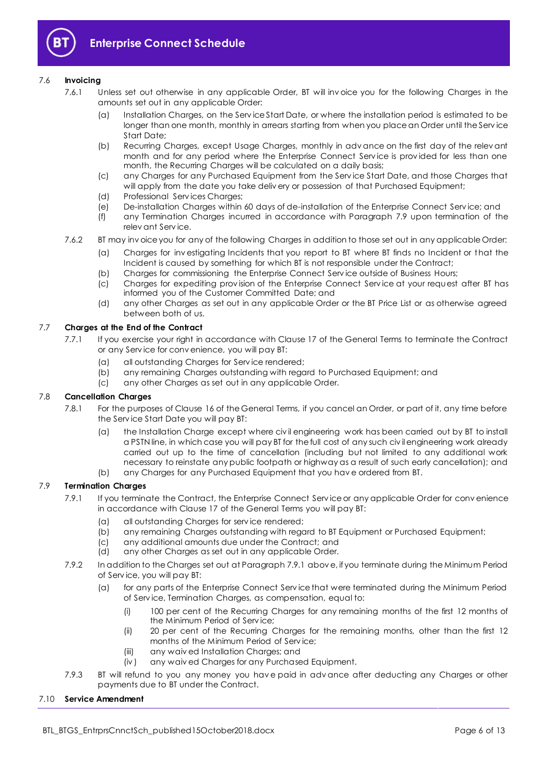

## 7.6 **Invoicing**

- 7.6.1 Unless set out otherwise in any applicable Order, BT will inv oice you for the following Charges in the amounts set out in any applicable Order:
	- (a) Installation Charges, on the Serv ice Start Date, or where the installation period is estimated to be longer than one month, monthly in arrears starting from when you place an Order until the Serv ice Start Date;
	- (b) Recurring Charges, except Usage Charges, monthly in adv ance on the first day of the relev ant month and for any period where the Enterprise Connect Serv ice is prov ided for less than one month, the Recurring Charges will be calculated on a daily basis;
	- (c) any Charges for any Purchased Equipment from the Serv ice Start Date, and those Charges that will apply from the date you take deliv ery or possession of that Purchased Equipment;
	- (d) Professional Serv ices Charges;
	- (e) De-installation Charges within 60 days of de-installation of the Enterprise Connect Serv ice; and
	- (f) any Termination Charges incurred in accordance with Paragraph [7.9](#page-5-0) upon termination of the relev ant Serv ice.
- 7.6.2 BT may inv oice you for any of the following Charges in addition to those set out in any applicable Order:
	- (a) Charges for inv estigating Incidents that you report to BT where BT finds no Incident or that the Incident is caused by something for which BT is not responsible under the Contract;
	- (b) Charges for commissioning the Enterprise Connect Serv ice outside of Business Hours;
	- (c) Charges for expediting prov ision of the Enterprise Connect Serv ice at your request after BT has informed you of the Customer Committed Date; and
	- (d) any other Charges as set out in any applicable Order or the BT Price List or as otherwise agreed between both of us.

## 7.7 **Charges at the End of the Contract**

- 7.7.1 If you exercise your right in accordance with Clause 17 of the General Terms to terminate the Contract or any Serv ice for conv enience, you will pay BT:
	- (a) all outstanding Charges for Serv ice rendered;
	- (b) any remaining Charges outstanding with regard to Purchased Equipment; and
	- (c) any other Charges as set out in any applicable Order.

## 7.8 **Cancellation Charges**

- 7.8.1 For the purposes of Clause 16 of the General Terms, if you cancel an Order, or part of it, any time before the Serv ice Start Date you will pay BT:
	- (a) the Installation Charge except where civ il engineering work has been carried out by BT to install a PSTN line, in which case you will pay BT for the full cost of any such civ il engineering work already carried out up to the time of cancellation (including but not limited to any additional work necessary to reinstate any public footpath or highway as a result of such early cancellation); and
	- (b) any Charges for any Purchased Equipment that you hav e ordered from BT.

## <span id="page-5-1"></span><span id="page-5-0"></span>7.9 **Termination Charges**

- 7.9.1 If you terminate the Contract, the Enterprise Connect Service or any applicable Order for convenience in accordance with Clause 17 of the General Terms you will pay BT:
	- (a) all outstanding Charges for serv ice rendered;
	- (b) any remaining Charges outstanding with regard to BT Equipment or Purchased Equipment;
	- (c) any additional amounts due under the Contract; and
	- (d) any other Charges as set out in any applicable Order.
- 7.9.2 In addition to the Charges set out at Paragrap[h 7.9.1](#page-5-1) abov e, if you terminate during the Minimum Period of Serv ice, you will pay BT:
	- (a) for any parts of the Enterprise Connect Serv ice that were terminated during the Minimum Period of Serv ice, Termination Charges, as compensation, equal to:
		- (i) 100 per cent of the Recurring Charges for any remaining months of the first 12 months of the Minimum Period of Serv ice;
		- (ii) 20 per cent of the Recurring Charges for the remaining months, other than the first 12 months of the Minimum Period of Serv ice;
		- (iii) any waiv ed Installation Charges; and
		- (iv ) any waiv ed Charges for any Purchased Equipment.
- 7.9.3 BT will refund to you any money you have paid in advance after deducting any Charges or other payments due to BT under the Contract.

## 7.10 **Service Amendment**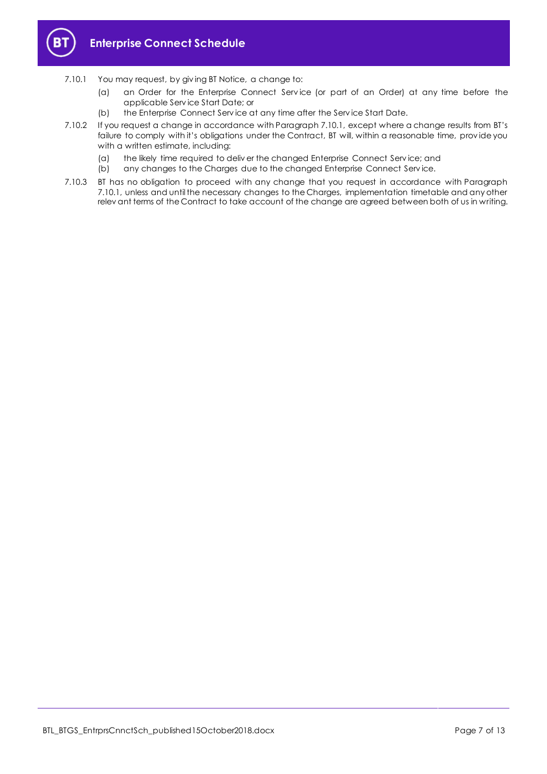

- <span id="page-6-0"></span>7.10.1 You may request, by giv ing BT Notice, a change to:
	- (a) an Order for the Enterprise Connect Serv ice (or part of an Order) at any time before the applicable Serv ice Start Date; or
	- (b) the Enterprise Connect Serv ice at any time after the Serv ice Start Date.
- 7.10.2 If you request a change in accordance with Paragraph [7.10.1](#page-6-0), except where a change results from BT's failure to comply with it's obligations under the Contract, BT will, within a reasonable time, prov ide you with a written estimate, including:
	- (a) the likely time required to deliv er the changed Enterprise Connect Serv ice; and
	- (b) any changes to the Charges due to the changed Enterprise Connect Serv ice.
- 7.10.3 BT has no obligation to proceed with any change that you request in accordance with Paragraph [7.10.1,](#page-6-0) unless and until the necessary changes to the Charges, implementation timetable and any other relev ant terms of the Contract to take account of the change are agreed between both of us in writing.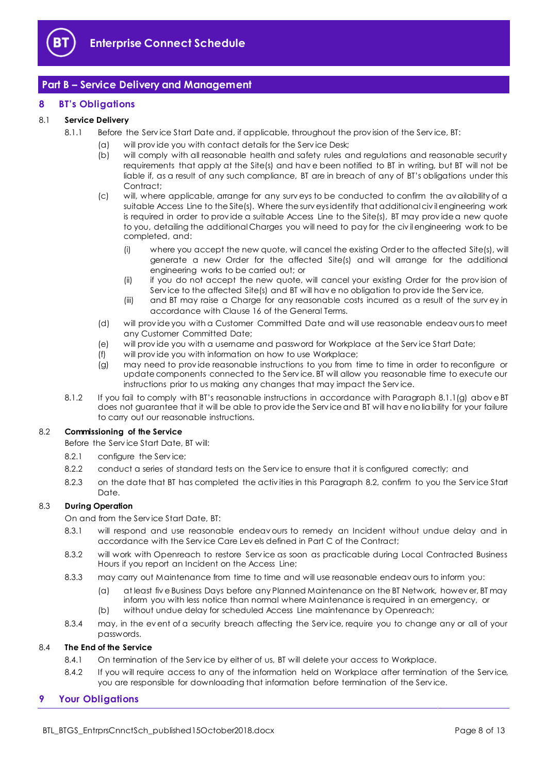

# <span id="page-7-0"></span>**Part B – Service Delivery and Management**

## <span id="page-7-1"></span>**8 BT's Obligations**

## 8.1 **Service Delivery**

- 8.1.1 Before the Serv ice Start Date and, if applicable, throughout the prov ision of the Serv ice, BT:
	- (a) will prov ide you with contact details for the Serv ice Desk;
	- (b) will comply with all reasonable health and safety rules and regulations and reasonable security requirements that apply at the Site(s) and hav e been notified to BT in writing, but BT will not be liable if, as a result of any such compliance, BT are in breach of any of BT's obligations under this Contract;
	- (c) will, where applicable, arrange for any surv eys to be conducted to confirm the av ailability of a suitable Access Line to the Site(s). Where the surv eys identify that additional civ il engineering work is required in order to prov ide a suitable Access Line to the Site(s), BT may prov ide a new quote to you, detailing the additional Charges you will need to pay for the civ il engineering work to be completed, and:
		- (i) where you accept the new quote, will cancel the existing Order to the affected Site(s), will generate a new Order for the affected Site(s) and will arrange for the additional engineering works to be carried out; or
		- (ii) if you do not accept the new quote, will cancel your existing Order for the prov ision of Serv ice to the affected Site(s) and BT will hav e no obligation to prov ide the Serv ice,
		- (iii) and BT may raise a Charge for any reasonable costs incurred as a result of the surv ey in accordance with Clause 16 of the General Terms.
	- (d) will prov ide you with a Customer Committed Date and will use reasonable endeav ours to meet any Customer Committed Date;
	- (e) will prov ide you with a username and password for Workplace at the Serv ice Start Date;
	- (f) will prov ide you with information on how to use Workplace;
	- (g) may need to prov ide reasonable instructions to you from time to time in order to reconfigure or update components connected to the Serv ice. BT will allow you reasonable time to execute our instructions prior to us making any changes that may impact the Serv ice.
- <span id="page-7-3"></span>8.1.2 If you fail to comply with BT's reasonable instructions in accordance with Paragraph [8.1.1\(g\)](#page-7-3) abov e BT does not guarantee that it will be able to prov ide the Serv ice and BT will hav e no liability for your failure to carry out our reasonable instructions.

## <span id="page-7-4"></span>8.2 **Commissioning of the Service**

Before the Serv ice Start Date, BT will:

- 8.2.1 configure the Serv ice;
- 8.2.2 conduct a series of standard tests on the Service to ensure that it is configured correctly; and
- 8.2.3 on the date that BT has completed the activ ities in this Paragraph [8.2,](#page-7-4) confirm to you the Serv ice Start Date.

## 8.3 **During Operation**

On and from the Serv ice Start Date, BT:

- 8.3.1 will respond and use reasonable endeav ours to remedy an Incident without undue delay and in accordance with the Serv ice Care Lev els defined in Part C of the Contract;
- 8.3.2 will work with Openreach to restore Serv ice as soon as practicable during Local Contracted Business Hours if you report an Incident on the Access Line;
- 8.3.3 may carry out Maintenance from time to time and will use reasonable endeav ours to inform you:
	- (a) at least fiv e Business Days before any Planned Maintenance on the BT Network, howev er, BT may inform you with less notice than normal where Maintenance is required in an emergency, or (b) without undue delay for scheduled Access Line maintenance by Openreach;
- 8.3.4 may, in the ev ent of a security breach affecting the Service, require you to change any or all of your passwords.

## 8.4 **The End of the Service**

- 8.4.1 On termination of the Serv ice by either of us, BT will delete your access to Workplace.
- 8.4.2 If you will require access to any of the information held on Workplace after termination of the Service, you are responsible for downloading that information before termination of the Serv ice.

## <span id="page-7-2"></span>**9 Your Obligations**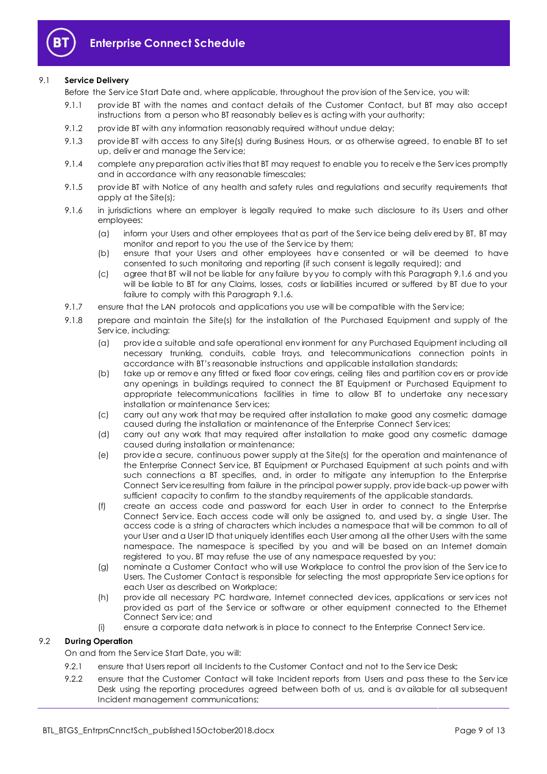

## 9.1 **Service Delivery**

Before the Serv ice Start Date and, where applicable, throughout the prov ision of the Serv ice, you will:

- 9.1.1 prov ide BT with the names and contact details of the Customer Contact, but BT may also accept instructions from a person who BT reasonably believ es is acting with your authority;
- 9.1.2 prov ide BT with any information reasonably required without undue delay;
- 9.1.3 prov ide BT with access to any Site(s) during Business Hours, or as otherwise agreed, to enable BT to set up, deliv er and manage the Serv ice;
- 9.1.4 complete any preparation activ ities that BT may request to enable you to receiv e the Serv ices promptly and in accordance with any reasonable timescales;
- 9.1.5 prov ide BT with Notice of any health and safety rules and regulations and security requirements that apply at the Site(s);
- <span id="page-8-0"></span>9.1.6 in jurisdictions where an employer is legally required to make such disclosure to its Users and other employees:
	- (a) inform your Users and other employees that as part of the Serv ice being deliv ered by BT, BT may monitor and report to you the use of the Serv ice by them;
	- (b) ensure that your Users and other employees hav e consented or will be deemed to have consented to such monitoring and reporting (if such consent is legally required); and
	- (c) agree that BT will not be liable for any failure by you to comply with this Paragraph [9.1.6](#page-8-0) and you will be liable to BT for any Claims, losses, costs or liabilities incurred or suffered by BT due to your failure to comply with this Paragrap[h 9.1.6.](#page-8-0)
- 9.1.7 ensure that the LAN protocols and applications you use will be compatible with the Service;
- 9.1.8 prepare and maintain the Site(s) for the installation of the Purchased Equipment and supply of the Serv ice, including:
	- (a) prov ide a suitable and safe operational env ironment for any Purchased Equipment including all necessary trunking, conduits, cable trays, and telecommunications connection points in accordance with BT's reasonable instructions and applicable installation standards;
	- (b) take up or remov e any fitted or fixed floor cov erings, ceiling tiles and partition cov ers or prov ide any openings in buildings required to connect the BT Equipment or Purchased Equipment to appropriate telecommunications facilities in time to allow BT to undertake any necessary installation or maintenance Serv ices;
	- (c) carry out any work that may be required after installation to make good any cosmetic damage caused during the installation or maintenance of the Enterprise Connect Serv ices;
	- (d) carry out any work that may required after installation to make good any cosmetic damage caused during installation or maintenance;
	- (e) prov ide a secure, continuous power supply at the Site(s) for the operation and maintenance of the Enterprise Connect Serv ice, BT Equipment or Purchased Equipment at such points and with such connections a BT specifies, and, in order to mitigate any interruption to the Enterprise Connect Serv ice resulting from failure in the principal power supply, prov ide back-up power with sufficient capacity to confirm to the standby requirements of the applicable standards.
	- (f) create an access code and password for each User in order to connect to the Enterprise Connect Serv ice. Each access code will only be assigned to, and used by, a single User. The access code is a string of characters which includes a namespace that will be common to all of your User and a User ID that uniquely identifies each User among all the other Users with the same namespace. The namespace is specified by you and will be based on an Internet domain registered to you. BT may refuse the use of any namespace requested by you;
	- (g) nominate a Customer Contact who will use Workplace to control the prov ision of the Serv ice to Users. The Customer Contact is responsible for selecting the most appropriate Serv ice options for each User as described on Workplace;
	- (h) prov ide all necessary PC hardware, Internet connected dev ices, applications or serv ices not prov ided as part of the Serv ice or software or other equipment connected to the Ethernet Connect Serv ice; and
	- (i) ensure a corporate data network is in place to connect to the Enterprise Connect Serv ice.

## 9.2 **During Operation**

On and from the Serv ice Start Date, you will:

- 9.2.1 ensure that Users report all Incidents to the Customer Contact and not to the Service Desk;
- 9.2.2 ensure that the Customer Contact will take Incident reports from Users and pass these to the Service Desk using the reporting procedures agreed between both of us, and is av ailable for all subsequent Incident management communications;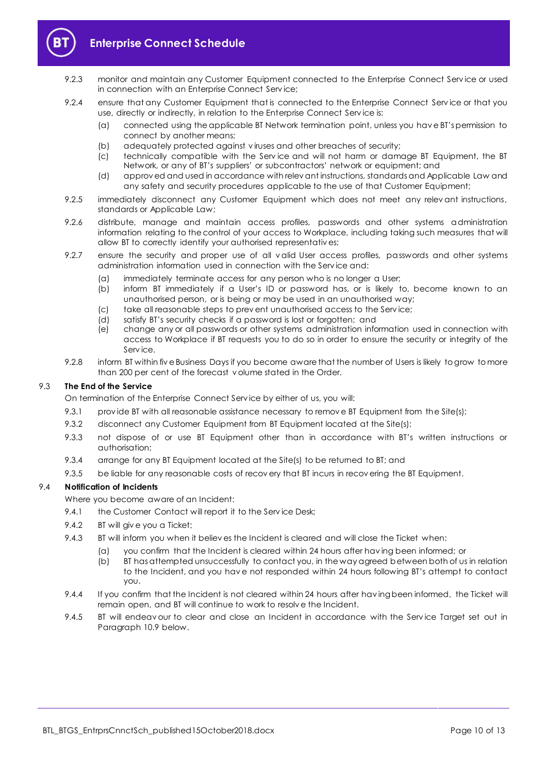

# **Enterprise Connect Schedule**

- 9.2.3 monitor and maintain any Customer Equipment connected to the Enterprise Connect Serv ice or used in connection with an Enterprise Connect Serv ice;
- 9.2.4 ensure that any Customer Equipment that is connected to the Enterprise Connect Service or that you use, directly or indirectly, in relation to the Enterprise Connect Serv ice is:
	- (a) connected using the applicable BT Network termination point, unless you hav e BT's permission to connect by another means;
	- (b) adequately protected against v iruses and other breaches of security;
	- (c) technically compatible with the Serv ice and will not harm or damage BT Equipment, the BT Network, or any of BT's suppliers' or subcontractors' network or equipment; and
	- (d) approv ed and used in accordance with relev ant instructions, standards and Applicable Law and any safety and security procedures applicable to the use of that Customer Equipment;
- 9.2.5 immediately disconnect any Customer Equipment which does not meet any relev ant instructions, standards or Applicable Law;
- 9.2.6 distribute, manage and maintain access profiles, passwords and other systems administration information relating to the control of your access to Workplace, including taking such measures that will allow BT to correctly identify your authorised representativ es;
- 9.2.7 ensure the security and proper use of all v alid User access profiles, passwords and other systems administration information used in connection with the Serv ice and:
	- (a) immediately terminate access for any person who is no longer a User;
	- (b) inform BT immediately if a User's ID or password has, or is likely to, become known to an unauthorised person, or is being or may be used in an unauthorised way;
	- (c) take all reasonable steps to prev ent unauthorised access to the Serv ice;
	- (d) satisfy BT's security checks if a password is lost or forgotten; and
	- (e) change any or all passwords or other systems administration information used in connection with access to Workplace if BT requests you to do so in order to ensure the security or integrity of the Serv ice.
- 9.2.8 inform BT within five Business Days if you become aware that the number of Users is likely to grow to more than 200 per cent of the forecast v olume stated in the Order.

## 9.3 **The End of the Service**

- On termination of the Enterprise Connect Serv ice by either of us, you will:
- 9.3.1 provide BT with all reasonable assistance necessary to remove BT Equipment from the Site(s);
- 9.3.2 disconnect any Customer Equipment from BT Equipment located at the Site(s);
- 9.3.3 not dispose of or use BT Equipment other than in accordance with BT's written instructions or authorisation;
- 9.3.4 arrange for any BT Equipment located at the Site(s) to be returned to BT; and
- 9.3.5 be liable for any reasonable costs of recov ery that BT incurs in recov ering the BT Equipment.

## <span id="page-9-0"></span>9.4 **Notification of Incidents**

Where you become aware of an Incident:

- 9.4.1 the Customer Contact will report it to the Service Desk;
- 9.4.2 BT will giv e you a Ticket;
- 9.4.3 BT will inform you when it believ es the Incident is cleared and will close the Ticket when:
	- (a) you confirm that the Incident is cleared within 24 hours after hav ing been informed; or
	- (b) BT has attempted unsuccessfully to contact you, in the way agreed between both of us in relation to the Incident, and you have not responded within 24 hours following BT's attempt to contact you.
- 9.4.4 If you confirm that the Incident is not cleared within 24 hours after hav ing been informed, the Ticket will remain open, and BT will continue to work to resolv e the Incident.
- 9.4.5 BT will endeav our to clear and close an Incident in accordance with the Service Target set out in Paragrap[h 10.9](#page-10-2) below.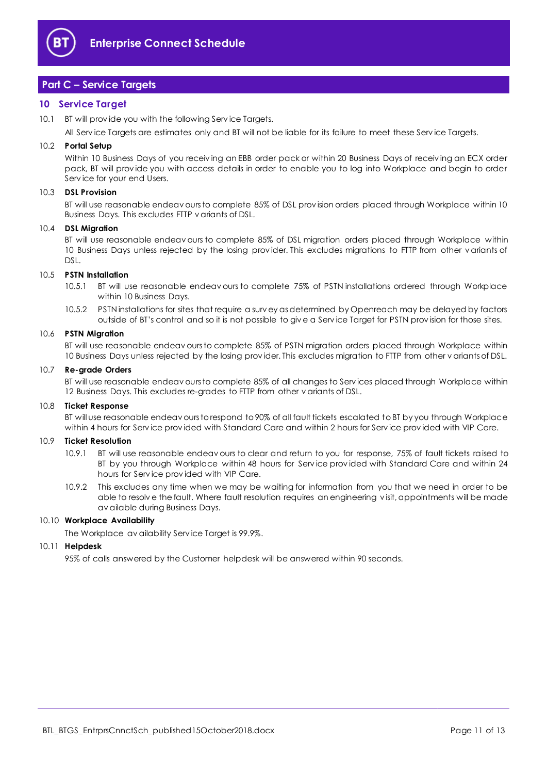

# <span id="page-10-0"></span>**Part C – Service Targets**

## <span id="page-10-1"></span>**10 Service Target**

10.1 BT will provide you with the following Service Targets.

All Serv ice Targets are estimates only and BT will not be liable for its failure to meet these Serv ice Targets.

#### 10.2 **Portal Setup**

Within 10 Business Days of you receiv ing an EBB order pack or within 20 Business Days of receiv ing an ECX order pack, BT will prov ide you with access details in order to enable you to log into Workplace and begin to order Serv ice for your end Users.

#### 10.3 **DSL Provision**

BT will use reasonable endeav ours to complete 85% of DSL prov ision orders placed through Workplace within 10 Business Days. This excludes FTTP v ariants of DSL.

#### 10.4 **DSL Migration**

BT will use reasonable endeav ours to complete 85% of DSL migration orders placed through Workplace within 10 Business Days unless rejected by the losing prov ider. This excludes migrations to FTTP from other v ariants of DSL.

#### 10.5 **PSTN Installation**

- 10.5.1 BT will use reasonable endeav ours to complete 75% of PSTN installations ordered through Workplace within 10 Business Days.
- 10.5.2 PSTN installations for sites that require a surv ey as determined by Openreach may be delayed by factors outside of BT's control and so it is not possible to giv e a Serv ice Target for PSTN prov ision for those sites.

#### 10.6 **PSTN Migration**

BT will use reasonable endeav ours to complete 85% of PSTN migration orders placed through Workplace within 10 Business Days unless rejected by the losing prov ider. This excludes migration to FTTP from other v ariants of DSL.

#### 10.7 **Re-grade Orders**

BT will use reasonable endeav ours to complete 85% of all changes to Serv ices placed through Workplace within 12 Business Days. This excludes re-grades to FTTP from other v ariants of DSL.

#### 10.8 **Ticket Response**

BT will use reasonable endeav ours to respond to 90% of all fault tickets escalated to BT by you through Workplace within 4 hours for Serv ice prov ided with Standard Care and within 2 hours for Serv ice prov ided with VIP Care.

#### <span id="page-10-2"></span>10.9 **Ticket Resolution**

- 10.9.1 BT will use reasonable endeav ours to clear and return to you for response, 75% of fault tickets raised to BT by you through Workplace within 48 hours for Serv ice prov ided with Standard Care and within 24 hours for Serv ice prov ided with VIP Care.
- 10.9.2 This excludes any time when we may be waiting for information from you that we need in order to be able to resolv e the fault. Where fault resolution requires an engineering v isit, appointments will be made av ailable during Business Days.

#### 10.10 **Workplace Availability**

The Workplace av ailability Serv ice Target is 99.9%.

#### 10.11 **Helpdesk**

95% of calls answered by the Customer helpdesk will be answered within 90 seconds.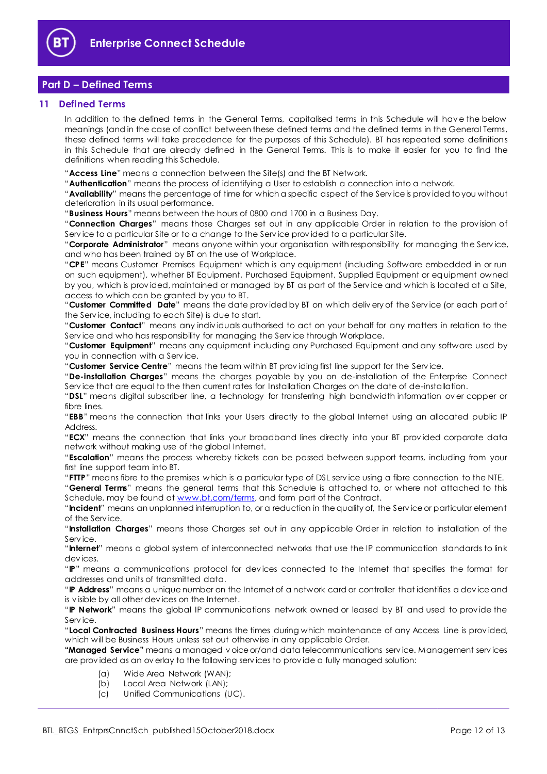

# <span id="page-11-0"></span>**Part D – Defined Terms**

## <span id="page-11-1"></span>**11 Defined Terms**

In addition to the defined terms in the General Terms, capitalised terms in this Schedule will hav e the below meanings (and in the case of conflict between these defined terms and the defined terms in the General Terms, these defined terms will take precedence for the purposes of this Schedule). BT has repeated some definitions in this Schedule that are already defined in the General Terms. This is to make it easier for you to find the definitions when reading this Schedule.

"**Access Line**" means a connection between the Site(s) and the BT Network.

"**Authentication**" means the process of identifying a User to establish a connection into a network.

"**Availability**" means the percentage of time for which a specific aspect of the Serv ice is prov ided to you without deterioration in its usual performance.

"**Business Hours**" means between the hours of 0800 and 1700 in a Business Day.

"**Connection Charges**" means those Charges set out in any applicable Order in relation to the prov ision of Serv ice to a particular Site or to a change to the Serv ice prov ided to a particular Site.

"**Corporate Administrator**" means anyone within your organisation with responsibility for managing the Serv ice, and who has been trained by BT on the use of Workplace.

"**CPE**" means Customer Premises Equipment which is any equipment (including Software embedded in or run on such equipment), whether BT Equipment, Purchased Equipment, Supplied Equipment or equipment owned by you, which is prov ided, maintained or managed by BT as part of the Serv ice and which is located at a Site, access to which can be granted by you to BT.

"**Customer Committed Date**" means the date prov ided by BT on which deliv ery of the Serv ice (or each part of the Serv ice, including to each Site) is due to start.

"**Customer Contact**" means any indiv iduals authorised to act on your behalf for any matters in relation to the Serv ice and who has responsibility for managing the Serv ice through Workplace.

"**Customer Equipment**" means any equipment including any Purchased Equipment and any software used by you in connection with a Serv ice.

"**Customer Service Centre**" means the team within BT prov iding first line support for the Serv ice.

"**De-installation Charges**" means the charges payable by you on de-installation of the Enterprise Connect Service that are equal to the then current rates for Installation Charges on the date of de-installation.

"**DSL**" means digital subscriber line, a technology for transferring high bandwidth information ov er copper or fibre lines.

"**EBB**" means the connection that links your Users directly to the global Internet using an allocated public IP Address.

"**ECX**" means the connection that links your broadband lines directly into your BT prov ided corporate data network without making use of the global Internet.

"**Escalation**" means the process whereby tickets can be passed between support teams, including from your first line support team into BT.

"**FTTP**" means fibre to the premises which is a particular type of DSL serv ice using a fibre connection to the NTE.

"**General Terms**" means the general terms that this Schedule is attached to, or where not attached to this Schedule, may be found at [www.bt.com/terms,](http://www.bt.com/terms) and form part of the Contract.

"**Incident**" means an unplanned interruption to, or a reduction in the quality of, the Serv ice or particular element of the Serv ice.

"**Installation Charges**" means those Charges set out in any applicable Order in relation to installation of the Serv ice.

"**Internet**" means a global system of interconnected networks that use the IP communication standards to link dev ices.

"**IP**" means a communications protocol for dev ices connected to the Internet that specifies the format for addresses and units of transmitted data.

"**IP Address**" means a unique number on the Internet of a network card or controller that identifies a dev ice and is v isible by all other dev ices on the Internet.

"**IP Network**" means the global IP communications network owned or leased by BT and used to prov ide the Serv ice.

"**Local Contracted Business Hours**" means the times during which maintenance of any Access Line is prov ided, which will be Business Hours unless set out otherwise in any applicable Order.

**"Managed Service"** means a managed v oice or/and data telecommunications serv ice. Management serv ices are prov ided as an ov erlay to the following serv ices to prov ide a fully managed solution:

- (a) Wide Area Network (WAN);
- (b) Local Area Network (LAN);
- (c) Unified Communications (UC).